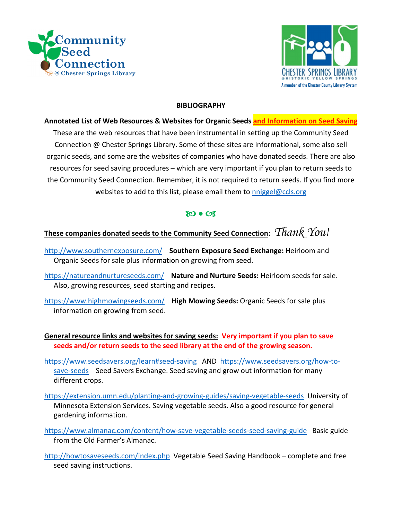



#### **BIBLIOGRAPHY**

## **Annotated List of Web Resources & Websites for Organic Seeds and Information on Seed Saving**  These are the web resources that have been instrumental in setting up the Community Seed Connection @ Chester Springs Library. Some of these sites are informational, some also sell organic seeds, and some are the websites of companies who have donated seeds. There are also resources for seed saving procedures – which are very important if you plan to return seeds to the Community Seed Connection. Remember, it is not required to return seeds. If you find more websites to add to this list, please email them to nniggel@ccls.org

### $800$

# **These companies donated seeds to the Community Seed Connection:** *Thank You!*

- http://www.southernexposure.com/ **Southern Exposure Seed Exchange:** Heirloom and Organic Seeds for sale plus information on growing from seed.
- https://natureandnurtureseeds.com/ **Nature and Nurture Seeds:** Heirloom seeds for sale. Also, growing resources, seed starting and recipes.
- https://www.highmowingseeds.com/ **High Mowing Seeds:** Organic Seeds for sale plus information on growing from seed.

**General resource links and websites for saving seeds: Very important if you plan to save seeds and/or return seeds to the seed library at the end of the growing season.** 

- https://www.seedsavers.org/learn#seed-saving AND https://www.seedsavers.org/how-tosave-seeds Seed Savers Exchange. Seed saving and grow out information for many different crops.
- https://extension.umn.edu/planting-and-growing-guides/saving-vegetable-seeds University of Minnesota Extension Services. Saving vegetable seeds. Also a good resource for general gardening information.
- https://www.almanac.com/content/how-save-vegetable-seeds-seed-saving-guide Basic guide from the Old Farmer's Almanac.
- http://howtosaveseeds.com/index.php Vegetable Seed Saving Handbook complete and free seed saving instructions.